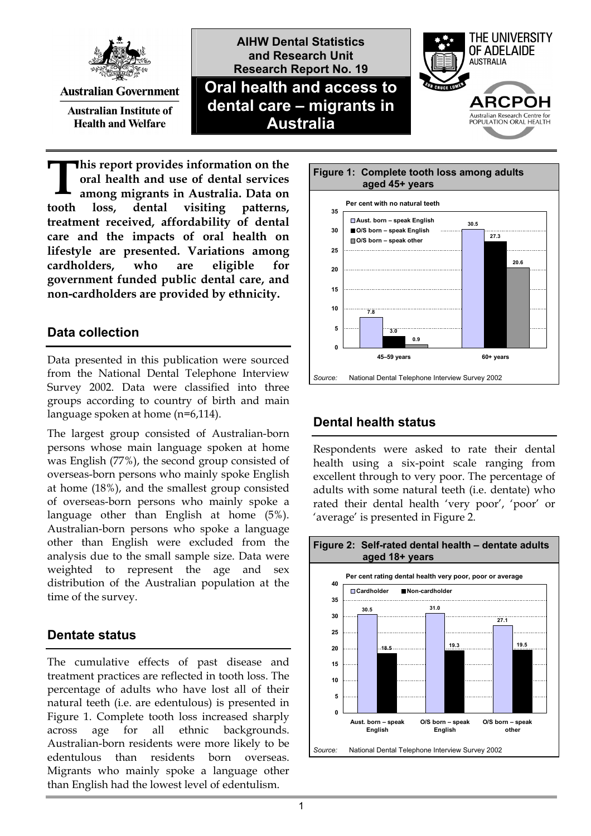

**Australian Government** 

**Australian Institute of Health and Welfare** 

**AIHW Dental Statistics and Research Unit Research Report No. 19 Oral health and access to dental care – migrants in Australia**



**his report provides information on the oral health and use of dental services among migrants in Australia. Data on tooth loss, dental visiting patterns, treatment received, affordability of dental care and the impacts of oral health on lifestyle are presented. Variations among cardholders, who are eligible for government funded public dental care, and non-cardholders are provided by ethnicity. T**

## **Data collection**

Data presented in this publication were sourced from the National Dental Telephone Interview Survey 2002. Data were classified into three groups according to country of birth and main language spoken at home (n=6,114).

The largest group consisted of Australian-born persons whose main language spoken at home was English (77%), the second group consisted of overseas-born persons who mainly spoke English at home (18%), and the smallest group consisted of overseas-born persons who mainly spoke a language other than English at home (5%). Australian-born persons who spoke a language other than English were excluded from the analysis due to the small sample size. Data were weighted to represent the age and sex distribution of the Australian population at the time of the survey.

# **Dentate status**

The cumulative effects of past disease and treatment practices are reflected in tooth loss. The percentage of adults who have lost all of their natural teeth (i.e. are edentulous) is presented in Figure 1. Complete tooth loss increased sharply across age for all ethnic backgrounds. Australian-born residents were more likely to be edentulous than residents born overseas. Migrants who mainly spoke a language other than English had the lowest level of edentulism.



# **Dental health status**

Respondents were asked to rate their dental health using a six-point scale ranging from excellent through to very poor. The percentage of adults with some natural teeth (i.e. dentate) who rated their dental health 'very poor', 'poor' or 'average' is presented in Figure 2.

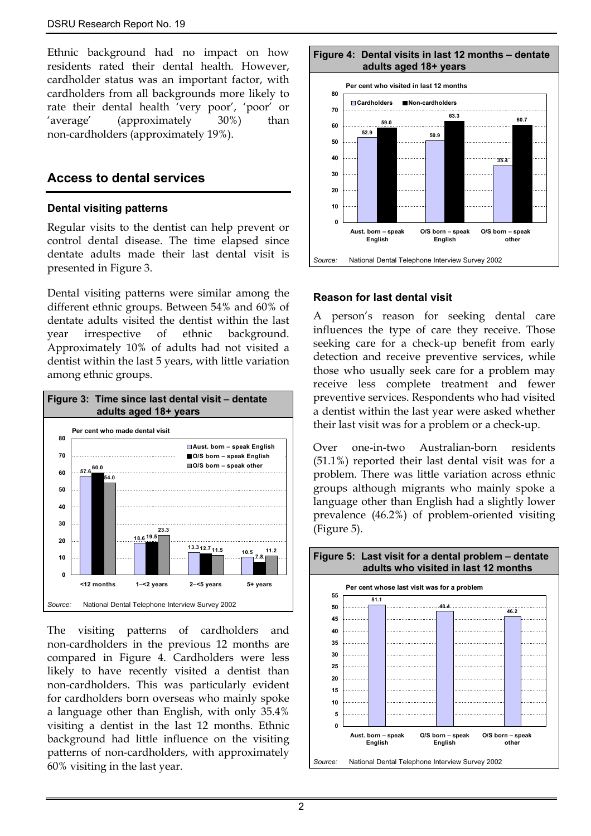Ethnic background had no impact on how residents rated their dental health. However, cardholder status was an important factor, with cardholders from all backgrounds more likely to rate their dental health 'very poor', 'poor' or 'average' (approximately 30%) than non-cardholders (approximately 19%).

### **Access to dental services**

#### **Dental visiting patterns**

Regular visits to the dentist can help prevent or control dental disease. The time elapsed since dentate adults made their last dental visit is presented in Figure 3.

Dental visiting patterns were similar among the different ethnic groups. Between 54% and 60% of dentate adults visited the dentist within the last year irrespective of ethnic background. Approximately 10% of adults had not visited a dentist within the last 5 years, with little variation among ethnic groups.



The visiting patterns of cardholders and non-cardholders in the previous 12 months are compared in Figure 4. Cardholders were less likely to have recently visited a dentist than non-cardholders. This was particularly evident for cardholders born overseas who mainly spoke a language other than English, with only 35.4% visiting a dentist in the last 12 months. Ethnic background had little influence on the visiting patterns of non-cardholders, with approximately 60% visiting in the last year.



#### **Reason for last dental visit**

A person's reason for seeking dental care influences the type of care they receive. Those seeking care for a check-up benefit from early detection and receive preventive services, while those who usually seek care for a problem may receive less complete treatment and fewer preventive services. Respondents who had visited a dentist within the last year were asked whether their last visit was for a problem or a check-up.

Over one-in-two Australian-born residents (51.1%) reported their last dental visit was for a problem. There was little variation across ethnic groups although migrants who mainly spoke a language other than English had a slightly lower prevalence (46.2%) of problem-oriented visiting (Figure 5).

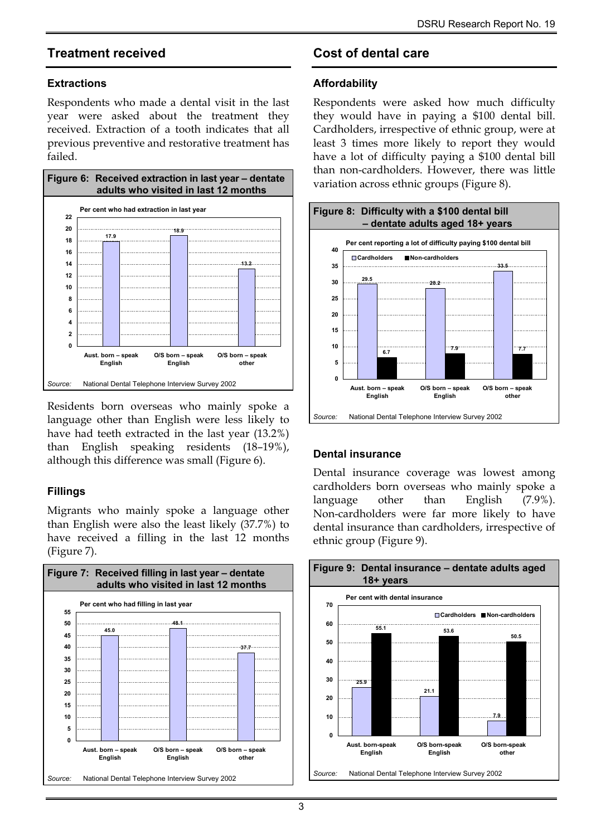### **Treatment received**

#### **Extractions**

Respondents who made a dental visit in the last year were asked about the treatment they received. Extraction of a tooth indicates that all previous preventive and restorative treatment has failed.



Residents born overseas who mainly spoke a language other than English were less likely to have had teeth extracted in the last year (13.2%) than English speaking residents (18–19%), although this difference was small (Figure 6).

### **Fillings**

Migrants who mainly spoke a language other than English were also the least likely (37.7%) to have received a filling in the last 12 months (Figure 7).



# **Cost of dental care**

#### **Affordability**

Respondents were asked how much difficulty they would have in paying a \$100 dental bill. Cardholders, irrespective of ethnic group, were at least 3 times more likely to report they would have a lot of difficulty paying a \$100 dental bill than non-cardholders. However, there was little variation across ethnic groups (Figure 8).



### **Dental insurance**

Dental insurance coverage was lowest among cardholders born overseas who mainly spoke a language other than English (7.9%). Non-cardholders were far more likely to have dental insurance than cardholders, irrespective of ethnic group (Figure 9).